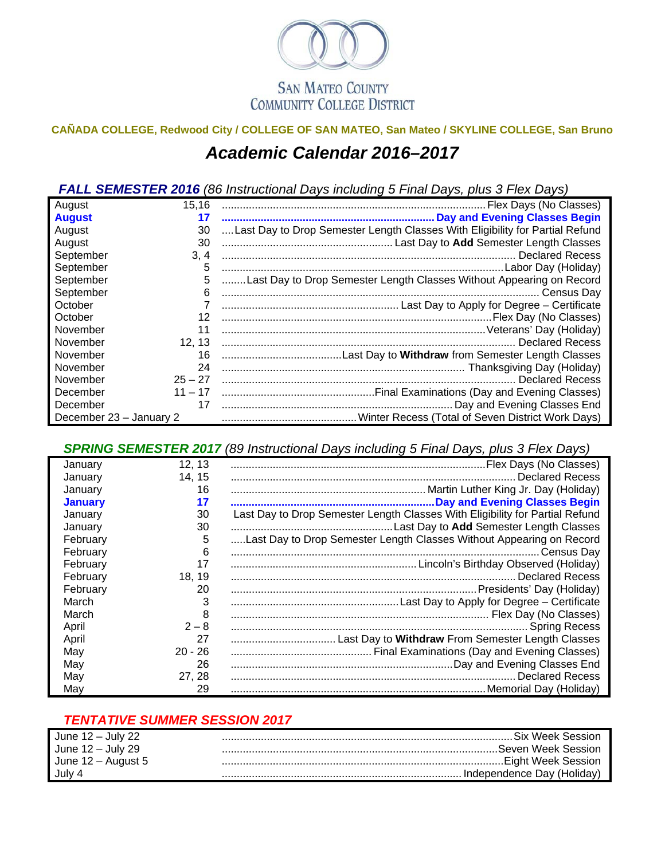

## **CAÑADA COLLEGE, Redwood City / COLLEGE OF SAN MATEO, San Mateo / SKYLINE COLLEGE, San Bruno**  *Academic Calendar 2016–2017*

*FALL SEMESTER 2016 (86 Instructional Days including 5 Final Days, plus 3 Flex Days)*

| August                  | 15,16     |                                                                              |  |  |  |  |  |
|-------------------------|-----------|------------------------------------------------------------------------------|--|--|--|--|--|
| <b>August</b>           | 17        |                                                                              |  |  |  |  |  |
| August                  | 30        | Last Day to Drop Semester Length Classes With Eligibility for Partial Refund |  |  |  |  |  |
| August                  | 30        |                                                                              |  |  |  |  |  |
| September               | 3, 4      |                                                                              |  |  |  |  |  |
| September               | 5         |                                                                              |  |  |  |  |  |
| September               | 5         | Last Day to Drop Semester Length Classes Without Appearing on Record         |  |  |  |  |  |
| September               | 6         |                                                                              |  |  |  |  |  |
| October                 |           |                                                                              |  |  |  |  |  |
| October                 | 12        |                                                                              |  |  |  |  |  |
| November                | 11        |                                                                              |  |  |  |  |  |
| November                | 12, 13    |                                                                              |  |  |  |  |  |
| November                | 16        |                                                                              |  |  |  |  |  |
| November                | 24        |                                                                              |  |  |  |  |  |
| November                | $25 - 27$ |                                                                              |  |  |  |  |  |
| December                | $11 - 17$ |                                                                              |  |  |  |  |  |
| December                | 17        |                                                                              |  |  |  |  |  |
| December 23 - January 2 |           |                                                                              |  |  |  |  |  |

*SPRING SEMESTER 2017 (89 Instructional Days including 5 Final Days, plus 3 Flex Days)*

| January        | 12, 13    |                                                                              |
|----------------|-----------|------------------------------------------------------------------------------|
| January        | 14, 15    | <b>Declared Recess</b>                                                       |
| January        | 16        |                                                                              |
| <b>January</b> | 17        |                                                                              |
| January        | 30        | Last Day to Drop Semester Length Classes With Eligibility for Partial Refund |
| January        | 30        |                                                                              |
| February       | 5         | Last Day to Drop Semester Length Classes Without Appearing on Record         |
| February       | 6         |                                                                              |
| February       | 17        |                                                                              |
| February       | 18, 19    |                                                                              |
| February       | 20        |                                                                              |
| March          | 3         |                                                                              |
| March          | 8         |                                                                              |
| April          | $2 - 8$   |                                                                              |
| April          | 27        |                                                                              |
| May            | $20 - 26$ |                                                                              |
| May            | -26       |                                                                              |
| May            | 27, 28    |                                                                              |
| May            | 29        |                                                                              |

## *TENTATIVE SUMMER SESSION 2017*

| June 12 – July 22    | . Six Week Session .       |
|----------------------|----------------------------|
| June $12 -$ July 29  | .Seven Week Session        |
| June $12 -$ August 5 |                            |
| July 4               | Independence Day (Holiday) |